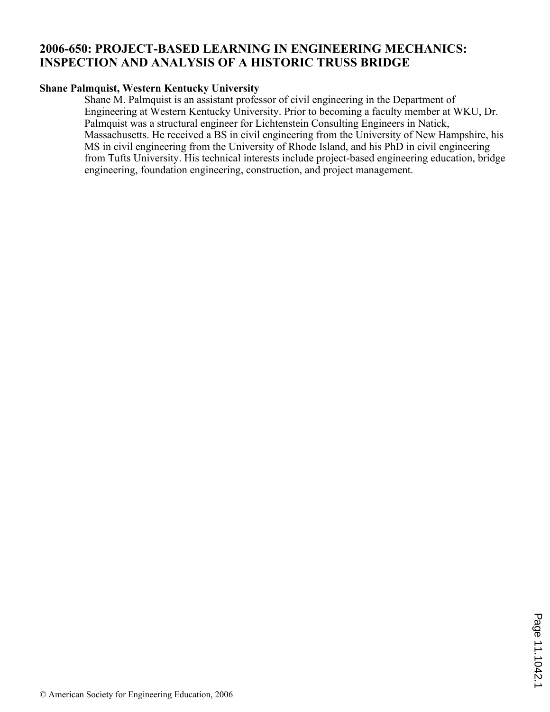## **2006-650: PROJECT-BASED LEARNING IN ENGINEERING MECHANICS: INSPECTION AND ANALYSIS OF A HISTORIC TRUSS BRIDGE**

#### **Shane Palmquist, Western Kentucky University**

Shane M. Palmquist is an assistant professor of civil engineering in the Department of Engineering at Western Kentucky University. Prior to becoming a faculty member at WKU, Dr. Palmquist was a structural engineer for Lichtenstein Consulting Engineers in Natick, Massachusetts. He received a BS in civil engineering from the University of New Hampshire, his MS in civil engineering from the University of Rhode Island, and his PhD in civil engineering from Tufts University. His technical interests include project-based engineering education, bridge engineering, foundation engineering, construction, and project management.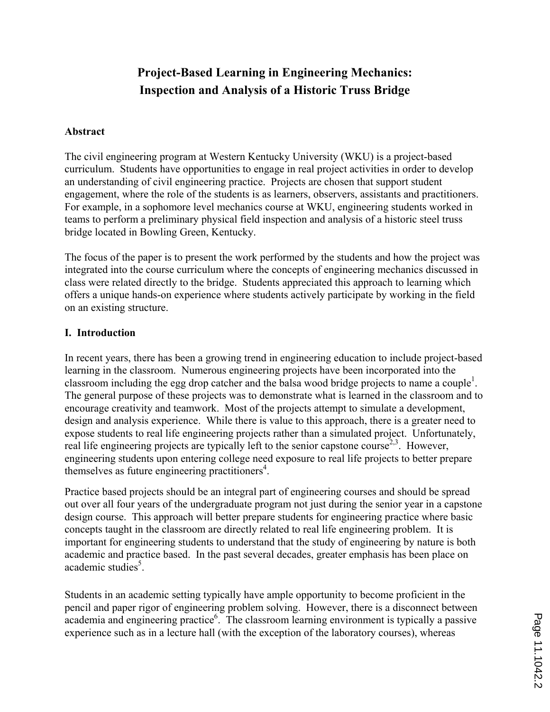# **Project-Based Learning in Engineering Mechanics: Inspection and Analysis of a Historic Truss Bridge**

### **Abstract**

The civil engineering program at Western Kentucky University (WKU) is a project-based curriculum. Students have opportunities to engage in real project activities in order to develop an understanding of civil engineering practice. Projects are chosen that support student engagement, where the role of the students is as learners, observers, assistants and practitioners. For example, in a sophomore level mechanics course at WKU, engineering students worked in teams to perform a preliminary physical field inspection and analysis of a historic steel truss bridge located in Bowling Green, Kentucky.

The focus of the paper is to present the work performed by the students and how the project was integrated into the course curriculum where the concepts of engineering mechanics discussed in class were related directly to the bridge. Students appreciated this approach to learning which offers a unique hands-on experience where students actively participate by working in the field on an existing structure.

#### **I. Introduction**

In recent years, there has been a growing trend in engineering education to include project-based learning in the classroom. Numerous engineering projects have been incorporated into the classroom including the egg drop catcher and the balsa wood bridge projects to name a couple<sup>1</sup>. The general purpose of these projects was to demonstrate what is learned in the classroom and to encourage creativity and teamwork. Most of the projects attempt to simulate a development, design and analysis experience. While there is value to this approach, there is a greater need to expose students to real life engineering projects rather than a simulated project. Unfortunately, real life engineering projects are typically left to the senior capstone course<sup>2,3</sup>. However, engineering students upon entering college need exposure to real life projects to better prepare themselves as future engineering practitioners<sup>4</sup>.

Practice based projects should be an integral part of engineering courses and should be spread out over all four years of the undergraduate program not just during the senior year in a capstone design course. This approach will better prepare students for engineering practice where basic concepts taught in the classroom are directly related to real life engineering problem. It is important for engineering students to understand that the study of engineering by nature is both academic and practice based. In the past several decades, greater emphasis has been place on academic studies<sup>5</sup>.

Students in an academic setting typically have ample opportunity to become proficient in the pencil and paper rigor of engineering problem solving. However, there is a disconnect between academia and engineering practice<sup>6</sup>. The classroom learning environment is typically a passive experience such as in a lecture hall (with the exception of the laboratory courses), whereas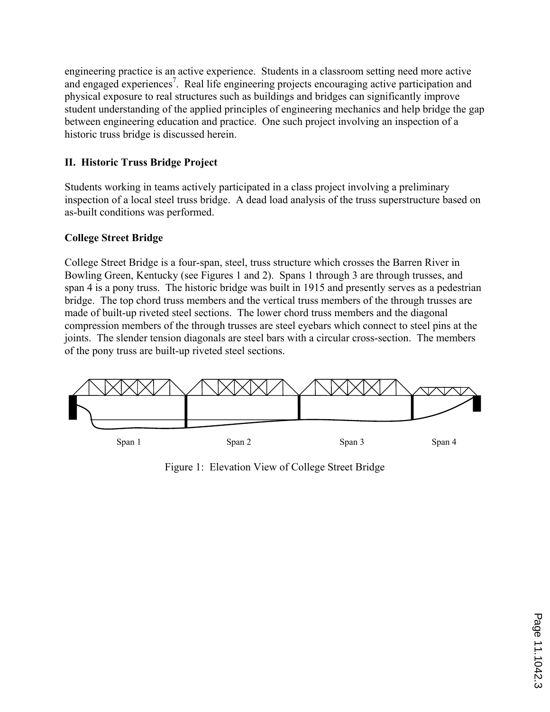engineering practice is an active experience. Students in a classroom setting need more active and engaged experiences<sup>7</sup>. Real life engineering projects encouraging active participation and physical exposure to real structures such as buildings and bridges can significantly improve student understanding of the applied principles of engineering mechanics and help bridge the gap between engineering education and practice. One such project involving an inspection of a historic truss bridge is discussed herein.

### **II. Historic Truss Bridge Project**

Students working in teams actively participated in a class project involving a preliminary inspection of a local steel truss bridge. A dead load analysis of the truss superstructure based on as-built conditions was performed.

### **College Street Bridge**

College Street Bridge is a four-span, steel, truss structure which crosses the Barren River in Bowling Green, Kentucky (see Figures 1 and 2). Spans 1 through 3 are through trusses, and span 4 is a pony truss. The historic bridge was built in 1915 and presently serves as a pedestrian bridge. The top chord truss members and the vertical truss members of the through trusses are made of built-up riveted steel sections. The lower chord truss members and the diagonal compression members of the through trusses are steel eyebars which connect to steel pins at the joints. The slender tension diagonals are steel bars with a circular cross-section. The members of the pony truss are built-up riveted steel sections.



Figure 1: Elevation View of College Street Bridge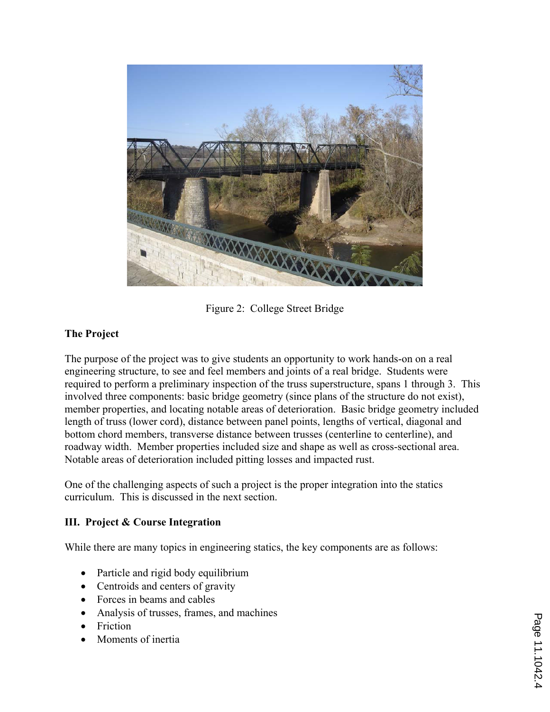

Figure 2: College Street Bridge

### **The Project**

The purpose of the project was to give students an opportunity to work hands-on on a real engineering structure, to see and feel members and joints of a real bridge. Students were required to perform a preliminary inspection of the truss superstructure, spans 1 through 3. This involved three components: basic bridge geometry (since plans of the structure do not exist), member properties, and locating notable areas of deterioration. Basic bridge geometry included length of truss (lower cord), distance between panel points, lengths of vertical, diagonal and bottom chord members, transverse distance between trusses (centerline to centerline), and roadway width. Member properties included size and shape as well as cross-sectional area. Notable areas of deterioration included pitting losses and impacted rust.

One of the challenging aspects of such a project is the proper integration into the statics curriculum. This is discussed in the next section.

### **III. Project & Course Integration**

While there are many topics in engineering statics, the key components are as follows:

- Particle and rigid body equilibrium
- Centroids and centers of gravity
- ' Forces in beams and cables
- ' Analysis of trusses, frames, and machines
- Friction
- ' Moments of inertia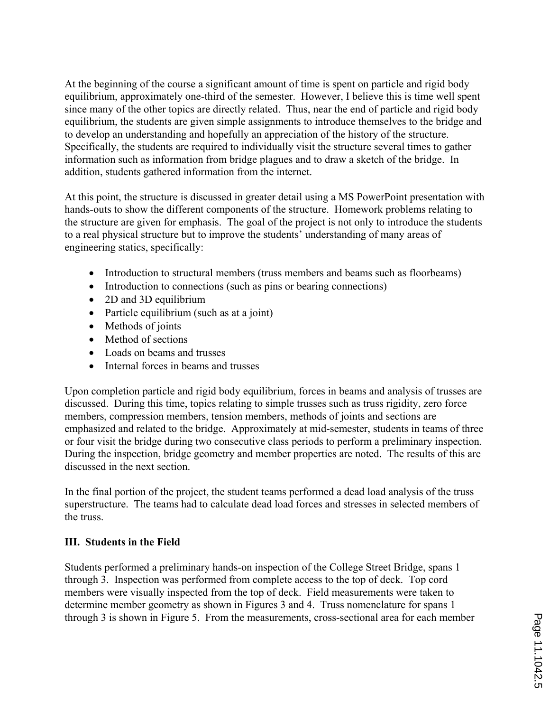At the beginning of the course a significant amount of time is spent on particle and rigid body equilibrium, approximately one-third of the semester. However, I believe this is time well spent since many of the other topics are directly related. Thus, near the end of particle and rigid body equilibrium, the students are given simple assignments to introduce themselves to the bridge and to develop an understanding and hopefully an appreciation of the history of the structure. Specifically, the students are required to individually visit the structure several times to gather information such as information from bridge plagues and to draw a sketch of the bridge. In addition, students gathered information from the internet.

At this point, the structure is discussed in greater detail using a MS PowerPoint presentation with hands-outs to show the different components of the structure. Homework problems relating to the structure are given for emphasis. The goal of the project is not only to introduce the students to a real physical structure but to improve the students' understanding of many areas of engineering statics, specifically:

- ' Introduction to structural members (truss members and beams such as floorbeams)
- ' Introduction to connections (such as pins or bearing connections)
- 2D and 3D equilibrium
- ' Particle equilibrium (such as at a joint)
- Methods of joints
- Method of sections
- ' Loads on beams and trusses
- ' Internal forces in beams and trusses

Upon completion particle and rigid body equilibrium, forces in beams and analysis of trusses are discussed. During this time, topics relating to simple trusses such as truss rigidity, zero force members, compression members, tension members, methods of joints and sections are emphasized and related to the bridge. Approximately at mid-semester, students in teams of three or four visit the bridge during two consecutive class periods to perform a preliminary inspection. During the inspection, bridge geometry and member properties are noted. The results of this are discussed in the next section.

In the final portion of the project, the student teams performed a dead load analysis of the truss superstructure. The teams had to calculate dead load forces and stresses in selected members of the truss.

### **III. Students in the Field**

Students performed a preliminary hands-on inspection of the College Street Bridge, spans 1 through 3. Inspection was performed from complete access to the top of deck. Top cord members were visually inspected from the top of deck. Field measurements were taken to determine member geometry as shown in Figures 3 and 4. Truss nomenclature for spans 1 through 3 is shown in Figure 5. From the measurements, cross-sectional area for each member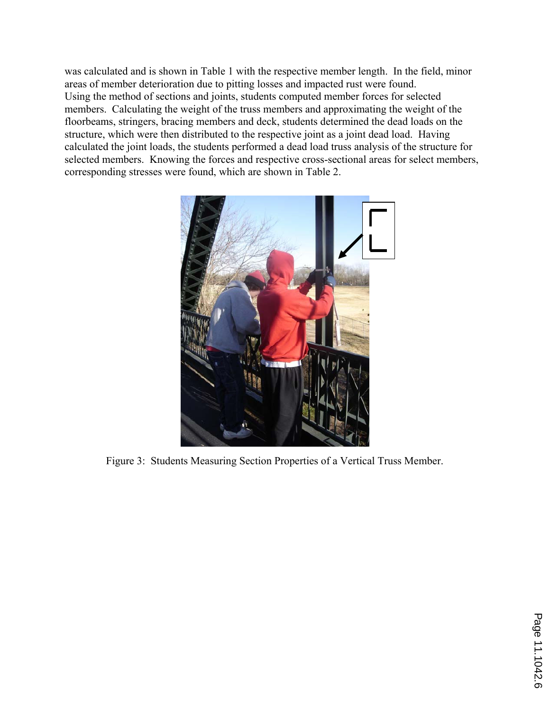was calculated and is shown in Table 1 with the respective member length. In the field, minor areas of member deterioration due to pitting losses and impacted rust were found. Using the method of sections and joints, students computed member forces for selected members. Calculating the weight of the truss members and approximating the weight of the floorbeams, stringers, bracing members and deck, students determined the dead loads on the structure, which were then distributed to the respective joint as a joint dead load. Having calculated the joint loads, the students performed a dead load truss analysis of the structure for selected members. Knowing the forces and respective cross-sectional areas for select members, corresponding stresses were found, which are shown in Table 2.



Figure 3: Students Measuring Section Properties of a Vertical Truss Member.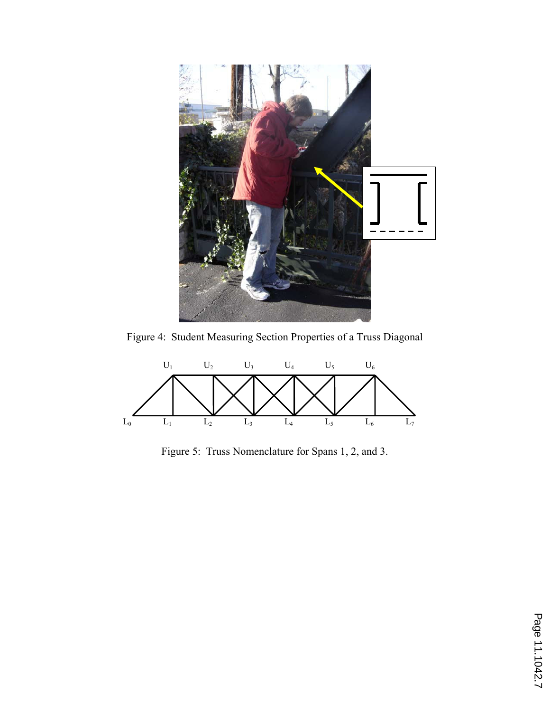

Figure 4: Student Measuring Section Properties of a Truss Diagonal



Figure 5: Truss Nomenclature for Spans 1, 2, and 3.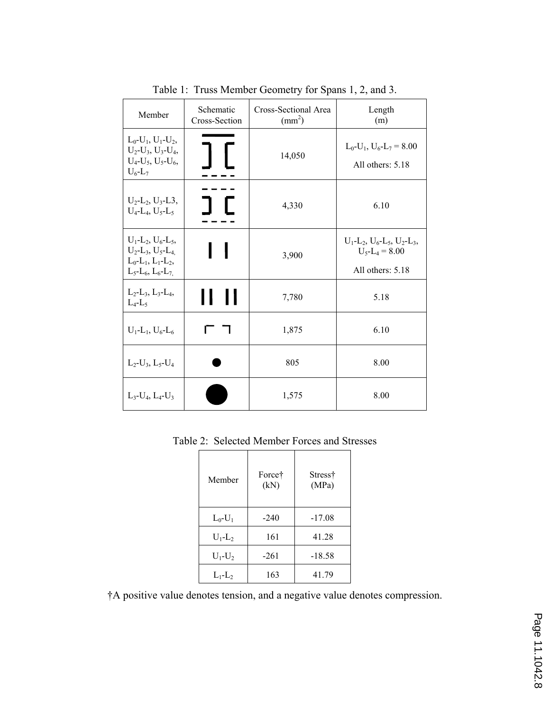| Member                                                                                                                                                                        | Schematic<br>Cross-Section | Cross-Sectional Area<br>$\text{(mm}^2)$ | Length<br>(m)                                                                                                                       |
|-------------------------------------------------------------------------------------------------------------------------------------------------------------------------------|----------------------------|-----------------------------------------|-------------------------------------------------------------------------------------------------------------------------------------|
| $L_0$ - $U_1$ , $U_1$ - $U_2$ ,<br>$U_2-U_3, U_3-U_4,$<br>$U_4$ - $U_5$ , $U_5$ - $U_6$ ,<br>$U_6$ -L <sub>7</sub>                                                            |                            | 14,050                                  | $L_0-U_1$ , $U_6-L_7=8.00$<br>All others: 5.18                                                                                      |
| $U_2$ -L <sub>2</sub> , U <sub>3</sub> -L <sub>3</sub> ,<br>$U_4$ -L <sub>4</sub> , U <sub>5</sub> -L <sub>5</sub>                                                            |                            | 4,330                                   | 6.10                                                                                                                                |
| $U_1$ -L <sub>2</sub> , $U_6$ -L <sub>5</sub> ,<br>$U_2$ -L <sub>3</sub> , U <sub>5</sub> -L <sub>4</sub><br>$L_0$ - $L_1$ , $L_1$ - $L_2$ ,<br>$L_5$ - $L_6$ , $L_6$ - $L_7$ |                            | 3,900                                   | $U_1$ -L <sub>2</sub> , U <sub>6</sub> -L <sub>5</sub> , U <sub>2</sub> -L <sub>3</sub> ,<br>$U_5 - L_4 = 8.00$<br>All others: 5.18 |
| $L_2-L_3, L_3-L_4,$<br>$L_4$ - $L_5$                                                                                                                                          |                            | 7,780                                   | 5.18                                                                                                                                |
| $U_1$ -L <sub>1</sub> , $U_6$ -L <sub>6</sub>                                                                                                                                 |                            | 1,875                                   | 6.10                                                                                                                                |
| $L_2-U_3$ , $L_5-U_4$                                                                                                                                                         |                            | 805                                     | 8.00                                                                                                                                |
| $L_3-U_4, L_4-U_3$                                                                                                                                                            |                            | 1,575                                   | 8.00                                                                                                                                |

Table 1: Truss Member Geometry for Spans 1, 2, and 3.

Table 2: Selected Member Forces and Stresses

| Member        | Force†<br>(kN) | Stress†<br>(MPa) |
|---------------|----------------|------------------|
| $L_0-U_1$     | $-240$         | $-17.08$         |
| $U_1$ - $L_2$ | 161            | 41.28            |
| $U_1-U_2$     | $-261$         | $-18.58$         |
| $L_1-L_2$     | 163            | 41.79            |

†A positive value denotes tension, and a negative value denotes compression.